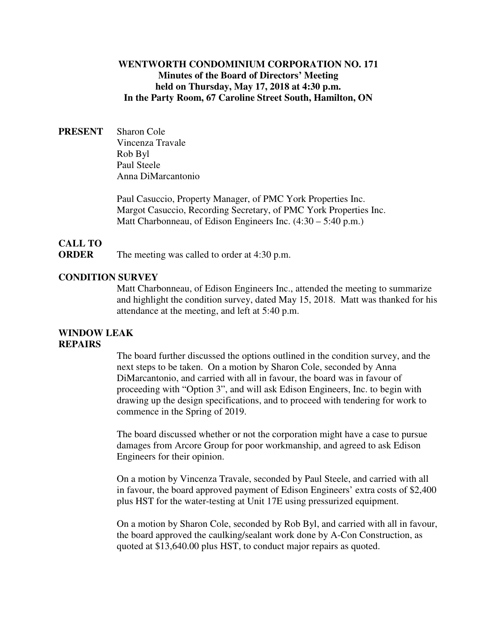## **WENTWORTH CONDOMINIUM CORPORATION NO. 171 Minutes of the Board of Directors' Meeting held on Thursday, May 17, 2018 at 4:30 p.m. In the Party Room, 67 Caroline Street South, Hamilton, ON**

**PRESENT** Sharon Cole Vincenza Travale Rob Byl Paul Steele Anna DiMarcantonio

> Paul Casuccio, Property Manager, of PMC York Properties Inc. Margot Casuccio, Recording Secretary, of PMC York Properties Inc. Matt Charbonneau, of Edison Engineers Inc. (4:30 – 5:40 p.m.)

# **CALL TO**

**ORDER** The meeting was called to order at 4:30 p.m.

#### **CONDITION SURVEY**

Matt Charbonneau, of Edison Engineers Inc., attended the meeting to summarize and highlight the condition survey, dated May 15, 2018. Matt was thanked for his attendance at the meeting, and left at 5:40 p.m.

#### **WINDOW LEAK REPAIRS**

The board further discussed the options outlined in the condition survey, and the next steps to be taken. On a motion by Sharon Cole, seconded by Anna DiMarcantonio, and carried with all in favour, the board was in favour of proceeding with "Option 3", and will ask Edison Engineers, Inc. to begin with drawing up the design specifications, and to proceed with tendering for work to commence in the Spring of 2019.

The board discussed whether or not the corporation might have a case to pursue damages from Arcore Group for poor workmanship, and agreed to ask Edison Engineers for their opinion.

On a motion by Vincenza Travale, seconded by Paul Steele, and carried with all in favour, the board approved payment of Edison Engineers' extra costs of \$2,400 plus HST for the water-testing at Unit 17E using pressurized equipment.

On a motion by Sharon Cole, seconded by Rob Byl, and carried with all in favour, the board approved the caulking/sealant work done by A-Con Construction, as quoted at \$13,640.00 plus HST, to conduct major repairs as quoted.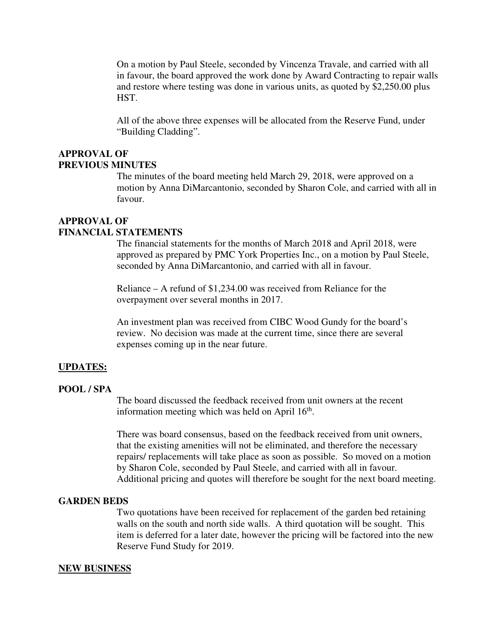On a motion by Paul Steele, seconded by Vincenza Travale, and carried with all in favour, the board approved the work done by Award Contracting to repair walls and restore where testing was done in various units, as quoted by \$2,250.00 plus HST.

All of the above three expenses will be allocated from the Reserve Fund, under "Building Cladding".

#### **APPROVAL OF PREVIOUS MINUTES**

The minutes of the board meeting held March 29, 2018, were approved on a motion by Anna DiMarcantonio, seconded by Sharon Cole, and carried with all in favour.

# **APPROVAL OF**

## **FINANCIAL STATEMENTS**

The financial statements for the months of March 2018 and April 2018, were approved as prepared by PMC York Properties Inc., on a motion by Paul Steele, seconded by Anna DiMarcantonio, and carried with all in favour.

Reliance – A refund of \$1,234.00 was received from Reliance for the overpayment over several months in 2017.

An investment plan was received from CIBC Wood Gundy for the board's review. No decision was made at the current time, since there are several expenses coming up in the near future.

#### **UPDATES:**

#### **POOL / SPA**

The board discussed the feedback received from unit owners at the recent information meeting which was held on April  $16<sup>th</sup>$ .

There was board consensus, based on the feedback received from unit owners, that the existing amenities will not be eliminated, and therefore the necessary repairs/ replacements will take place as soon as possible. So moved on a motion by Sharon Cole, seconded by Paul Steele, and carried with all in favour. Additional pricing and quotes will therefore be sought for the next board meeting.

#### **GARDEN BEDS**

Two quotations have been received for replacement of the garden bed retaining walls on the south and north side walls. A third quotation will be sought. This item is deferred for a later date, however the pricing will be factored into the new Reserve Fund Study for 2019.

#### **NEW BUSINESS**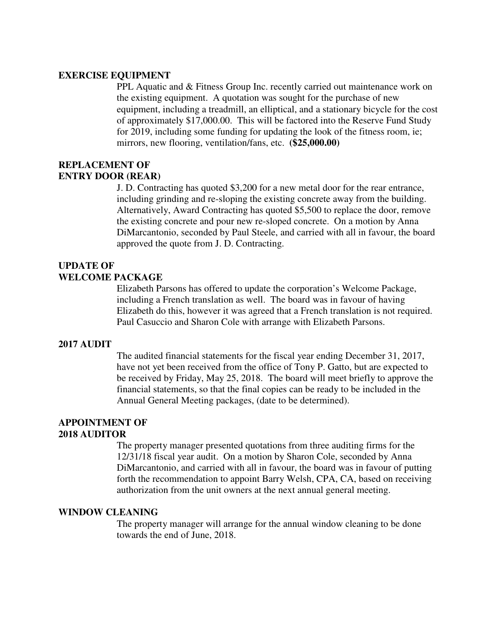#### **EXERCISE EQUIPMENT**

PPL Aquatic and & Fitness Group Inc. recently carried out maintenance work on the existing equipment. A quotation was sought for the purchase of new equipment, including a treadmill, an elliptical, and a stationary bicycle for the cost of approximately \$17,000.00. This will be factored into the Reserve Fund Study for 2019, including some funding for updating the look of the fitness room, ie; mirrors, new flooring, ventilation/fans, etc. **(\$25,000.00)**

## **REPLACEMENT OF ENTRY DOOR (REAR)**

J. D. Contracting has quoted \$3,200 for a new metal door for the rear entrance, including grinding and re-sloping the existing concrete away from the building. Alternatively, Award Contracting has quoted \$5,500 to replace the door, remove the existing concrete and pour new re-sloped concrete. On a motion by Anna DiMarcantonio, seconded by Paul Steele, and carried with all in favour, the board approved the quote from J. D. Contracting.

## **UPDATE OF WELCOME PACKAGE**

Elizabeth Parsons has offered to update the corporation's Welcome Package, including a French translation as well. The board was in favour of having Elizabeth do this, however it was agreed that a French translation is not required. Paul Casuccio and Sharon Cole with arrange with Elizabeth Parsons.

#### **2017 AUDIT**

The audited financial statements for the fiscal year ending December 31, 2017, have not yet been received from the office of Tony P. Gatto, but are expected to be received by Friday, May 25, 2018. The board will meet briefly to approve the financial statements, so that the final copies can be ready to be included in the Annual General Meeting packages, (date to be determined).

#### **APPOINTMENT OF 2018 AUDITOR**

The property manager presented quotations from three auditing firms for the 12/31/18 fiscal year audit. On a motion by Sharon Cole, seconded by Anna DiMarcantonio, and carried with all in favour, the board was in favour of putting forth the recommendation to appoint Barry Welsh, CPA, CA, based on receiving authorization from the unit owners at the next annual general meeting.

#### **WINDOW CLEANING**

The property manager will arrange for the annual window cleaning to be done towards the end of June, 2018.